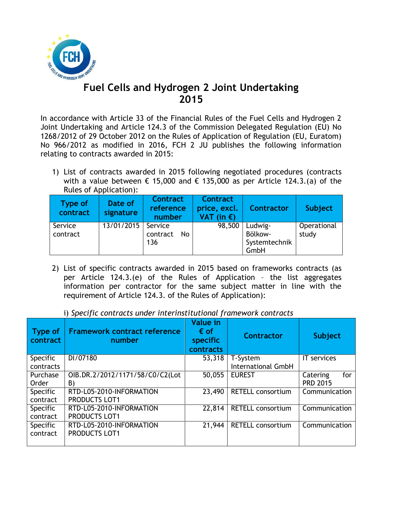

## **Fuel Cells and Hydrogen 2 Joint Undertaking 2015**

In accordance with Article 33 of the Financial Rules of the Fuel Cells and Hydrogen 2 Joint Undertaking and Article 124.3 of the Commission Delegated Regulation (EU) No 1268/2012 of 29 October 2012 on the Rules of Application of Regulation (EU, Euratom) No 966/2012 as modified in 2016, FCH 2 JU publishes the following information relating to contracts awarded in 2015:

1) List of contracts awarded in 2015 following negotiated procedures (contracts with a value between  $\epsilon$  15,000 and  $\epsilon$  135,000 as per Article 124.3.(a) of the Rules of Application):

| Type of<br>contract | Date of<br>signature | <b>Contract</b><br>reference<br>number | <b>Contract</b><br>price, excl.<br>VAT (in $\epsilon$ ) | <b>Contractor</b>                           | <b>Subject</b>       |
|---------------------|----------------------|----------------------------------------|---------------------------------------------------------|---------------------------------------------|----------------------|
| Service<br>contract | 13/01/2015           | Service<br>contract<br>No.<br>136      | 98,500                                                  | Ludwig-<br>Bölkow-<br>Systemtechnik<br>GmbH | Operational<br>study |

2) List of specific contracts awarded in 2015 based on frameworks contracts (as per Article 124.3.(e) of the Rules of Application – the list aggregates information per contractor for the same subject matter in line with the requirement of Article 124.3. of the Rules of Application):

|  |  |  | i) Specific contracts under interinstitutional framework contracts |  |
|--|--|--|--------------------------------------------------------------------|--|
|  |  |  |                                                                    |  |

| Type of<br>contract | <b>Framework contract reference</b><br>number | <b>Value in</b><br>$\epsilon$ of<br>specific<br>contracts | <b>Contractor</b>         | <b>Subject</b>  |
|---------------------|-----------------------------------------------|-----------------------------------------------------------|---------------------------|-----------------|
| Specific            | DI/07180                                      | 53,318                                                    | T-System                  | IT services     |
| contracts           |                                               |                                                           | <b>International GmbH</b> |                 |
| Purchase            | OIB.DR.2/2012/1171/58/C0/C2(Lot               | 50,055                                                    | <b>EUREST</b>             | for<br>Catering |
| Order               | B)                                            |                                                           |                           | <b>PRD 2015</b> |
| Specific            | RTD-L05-2010-INFORMATION                      | 23,490                                                    | <b>RETELL consortium</b>  | Communication   |
| contract            | <b>PRODUCTS LOT1</b>                          |                                                           |                           |                 |
| <b>Specific</b>     | RTD-L05-2010-INFORMATION                      | 22,814                                                    | <b>RETELL consortium</b>  | Communication   |
| contract            | <b>PRODUCTS LOT1</b>                          |                                                           |                           |                 |
| <b>Specific</b>     | RTD-L05-2010-INFORMATION                      | 21,944                                                    | <b>RETELL consortium</b>  | Communication   |
| contract            | PRODUCTS LOT1                                 |                                                           |                           |                 |
|                     |                                               |                                                           |                           |                 |